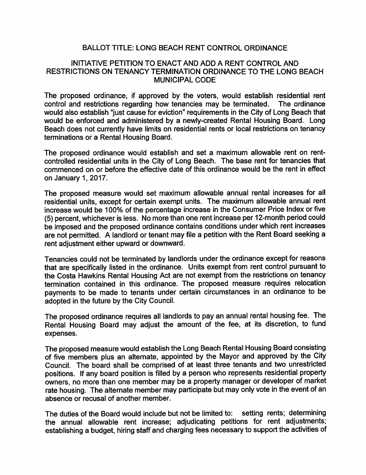## BALLOT TITLE: LONG BEACH RENT CONTROL ORDINANCE

## INITIATIVE PETITION TO ENACT AND ADD A RENT CONTROL AND RESTRICTIONS ON TENANCY TERMINATION ORDINANCE TO THE LONG BEACH MUNICIPAL CODE

The proposed ordinance, if approved by the voters, would establish residential rent control and restrictions regarding how tenancies may be terminated. The ordinance would also establish "just cause for eviction" requirements in the City of Long Beach that would be enforced and administered by a newly-created Rental Housing Board. Long Beach does not currently have limits on residential rents or local restrictions on tenancy terminations or a Rental Housing Board.

The proposed ordinance would establish and set a maximum allowable rent on rentcontrolled residential units in the City of Long Beach. The base rent for tenancies that commenced on or before the effective date of this ordinance would be the rent in effect on January 1, 2017.

The proposed measure would set maximum allowable annual rental increases for all residential units, except for certain exempt units. The maximum allowable annual rent increase would be 100% of the percentage increase in the Consumer Price Index or five (5) percent, whichever is less. No more than one rent increase per 12-month period could be imposed and the proposed ordinance contains conditions under which rent increases are not permitted. A landlord or tenant may file a petition with the Rent Board seeking a rent adjustment either upward or downward.

Tenancies could not be terminated by landlords under the ordinance except for reasons that are specifically listed in the ordinance. Units exempt from rent control pursuant to the Costa Hawkins Rental Housing Act are not exempt from the restrictions on tenancy termination contained in this ordinance. The proposed measure requires relocation payments to be made to tenants under certain circumstances in an ordinance to be adopted in the future by the City Council.

The proposed ordinance requires all landlords to pay an annual rental housing fee. The Rental Housing Board may adjust the amount of the fee, at its discretion, to fund expenses.

The proposed measure would establish the Long Beach Rental Housing Board consisting of five members plus an alternate, appointed by the Mayor and approved by the City Council. The board shall be comprised of at least three tenants and two unrestricted positions. If any board position is filled by a person who represents residential property owners, no more than one member may be a property manager or developer of market rate housing. The alternate member may participate but may only vote in the event of an absence or recusal of another member.

The duties of the Board would include but not be limited to: setting rents; determining the annual allowable rent increase; adjudicating petitions for rent adjustments; establishing a budget, hiring staff and charging fees necessary to support the activities of